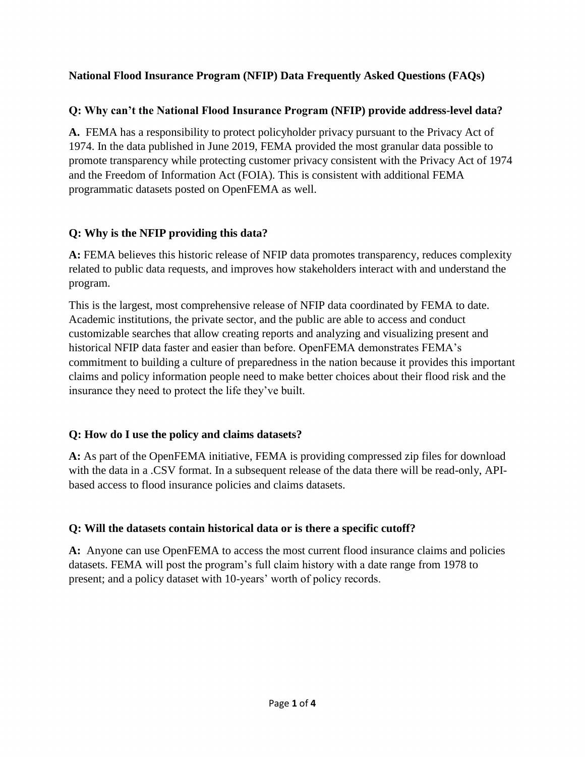## **National Flood Insurance Program (NFIP) Data Frequently Asked Questions (FAQs)**

### **Q: Why can't the National Flood Insurance Program (NFIP) provide address-level data?**

**A.** FEMA has a responsibility to protect policyholder privacy pursuant to the Privacy Act of 1974. In the data published in June 2019, FEMA provided the most granular data possible to promote transparency while protecting customer privacy consistent with the Privacy Act of 1974 and the Freedom of Information Act (FOIA). This is consistent with additional FEMA programmatic datasets posted on OpenFEMA as well.

## **Q: Why is the NFIP providing this data?**

**A:** FEMA believes this historic release of NFIP data promotes transparency, reduces complexity related to public data requests, and improves how stakeholders interact with and understand the program.

This is the largest, most comprehensive release of NFIP data coordinated by FEMA to date. Academic institutions, the private sector, and the public are able to access and conduct customizable searches that allow creating reports and analyzing and visualizing present and historical NFIP data faster and easier than before. OpenFEMA demonstrates FEMA's commitment to building a culture of preparedness in the nation because it provides this important claims and policy information people need to make better choices about their flood risk and the insurance they need to protect the life they've built.

#### **Q: How do I use the policy and claims datasets?**

**A:** As part of the OpenFEMA initiative, FEMA is providing compressed zip files for download with the data in a .CSV format. In a subsequent release of the data there will be read-only, APIbased access to flood insurance policies and claims datasets.

# **Q: Will the datasets contain historical data or is there a specific cutoff?**

**A:** Anyone can use OpenFEMA to access the most current flood insurance claims and policies datasets. FEMA will post the program's full claim history with a date range from 1978 to present; and a policy dataset with 10-years' worth of policy records.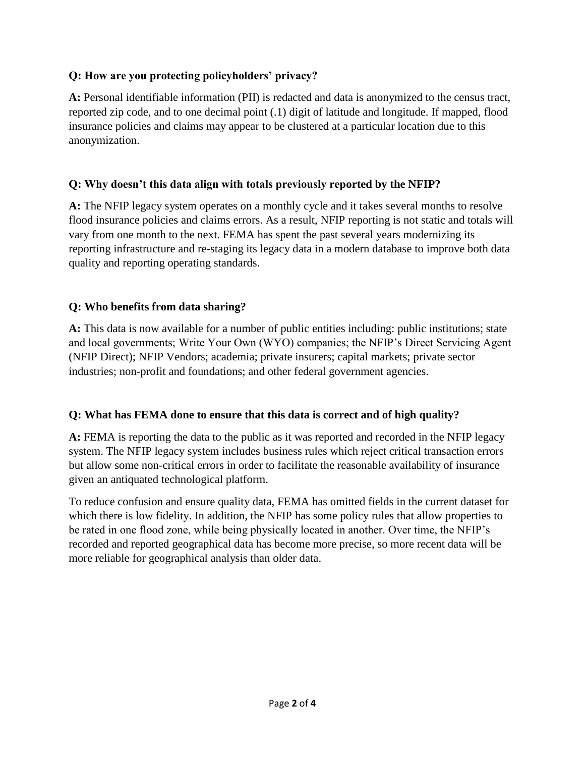## **Q: How are you protecting policyholders' privacy?**

**A:** Personal identifiable information (PII) is redacted and data is anonymized to the census tract, reported zip code, and to one decimal point (.1) digit of latitude and longitude. If mapped, flood insurance policies and claims may appear to be clustered at a particular location due to this anonymization.

## **Q: Why doesn't this data align with totals previously reported by the NFIP?**

**A:** The NFIP legacy system operates on a monthly cycle and it takes several months to resolve flood insurance policies and claims errors. As a result, NFIP reporting is not static and totals will vary from one month to the next. FEMA has spent the past several years modernizing its reporting infrastructure and re-staging its legacy data in a modern database to improve both data quality and reporting operating standards.

## **Q: Who benefits from data sharing?**

**A:** This data is now available for a number of public entities including: public institutions; state and local governments; Write Your Own (WYO) companies; the NFIP's Direct Servicing Agent (NFIP Direct); NFIP Vendors; academia; private insurers; capital markets; private sector industries; non-profit and foundations; and other federal government agencies.

#### **Q: What has FEMA done to ensure that this data is correct and of high quality?**

**A:** FEMA is reporting the data to the public as it was reported and recorded in the NFIP legacy system. The NFIP legacy system includes business rules which reject critical transaction errors but allow some non-critical errors in order to facilitate the reasonable availability of insurance given an antiquated technological platform.

To reduce confusion and ensure quality data, FEMA has omitted fields in the current dataset for which there is low fidelity. In addition, the NFIP has some policy rules that allow properties to be rated in one flood zone, while being physically located in another. Over time, the NFIP's recorded and reported geographical data has become more precise, so more recent data will be more reliable for geographical analysis than older data.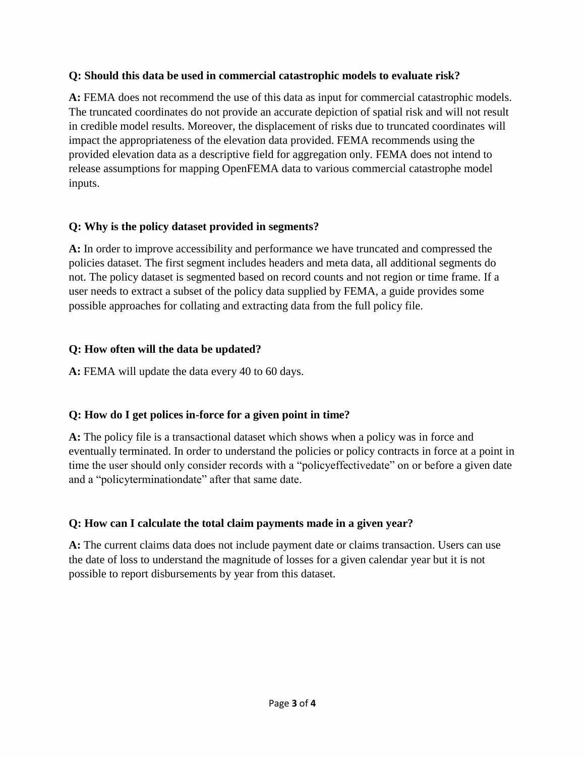#### **Q: Should this data be used in commercial catastrophic models to evaluate risk?**

**A:** FEMA does not recommend the use of this data as input for commercial catastrophic models. The truncated coordinates do not provide an accurate depiction of spatial risk and will not result in credible model results. Moreover, the displacement of risks due to truncated coordinates will impact the appropriateness of the elevation data provided. FEMA recommends using the provided elevation data as a descriptive field for aggregation only. FEMA does not intend to release assumptions for mapping OpenFEMA data to various commercial catastrophe model inputs.

#### **Q: Why is the policy dataset provided in segments?**

**A:** In order to improve accessibility and performance we have truncated and compressed the policies dataset. The first segment includes headers and meta data, all additional segments do not. The policy dataset is segmented based on record counts and not region or time frame. If a user needs to extract a subset of the policy data supplied by FEMA, a guide provides some possible approaches for collating and extracting data from the full policy file.

## **Q: How often will the data be updated?**

**A:** FEMA will update the data every 40 to 60 days.

# **Q: How do I get polices in-force for a given point in time?**

**A:** The policy file is a transactional dataset which shows when a policy was in force and eventually terminated. In order to understand the policies or policy contracts in force at a point in time the user should only consider records with a "policyeffectivedate" on or before a given date and a "policyterminationdate" after that same date.

# **Q: How can I calculate the total claim payments made in a given year?**

**A:** The current claims data does not include payment date or claims transaction. Users can use the date of loss to understand the magnitude of losses for a given calendar year but it is not possible to report disbursements by year from this dataset.